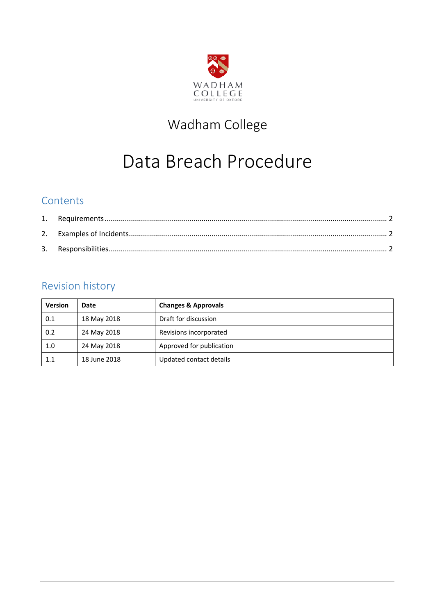

# Wadham College

# Data Breach Procedure

# **Contents**

# Revision history

| <b>Version</b> | Date         | <b>Changes &amp; Approvals</b> |
|----------------|--------------|--------------------------------|
| 0.1            | 18 May 2018  | Draft for discussion           |
| 0.2            | 24 May 2018  | Revisions incorporated         |
| 1.0            | 24 May 2018  | Approved for publication       |
| 1.1            | 18 June 2018 | Updated contact details        |